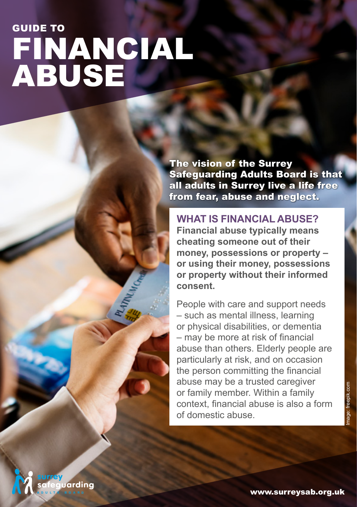# FINANCIAL ABUSE GUIDE TO

uardina

The vision of the Surrey Safeguarding Adults Board is that all adults in Surrey live a life free from fear, abuse and neglect.

**WHAT IS FINANCIAL ABUSE? Financial abuse typically means cheating someone out of their money, possessions or property – or using their money, possessions or property without their informed consent.**

People with care and support needs – such as mental illness, learning or physical disabilities, or dementia – may be more at risk of financial abuse than others. Elderly people are particularly at risk, and on occasion the person committing the financial abuse may be a trusted caregiver or family member. Within a family context, financial abuse is also a form of domestic abuse.